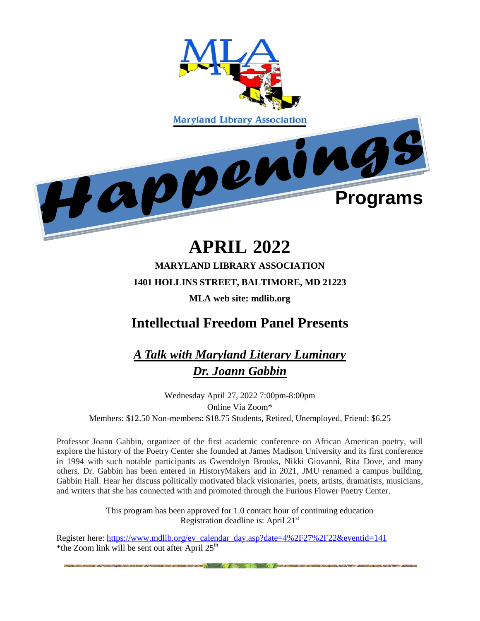

# **APRIL 2022**

## **MARYLAND LIBRARY ASSOCIATION 1401 HOLLINS STREET, BALTIMORE, MD 21223 MLA web site: mdlib.org**

# **Intellectual Freedom Panel Presents**

*A Talk with Maryland Literary Luminary Dr. Joann Gabbin*

Wednesday April 27, 2022 7:00pm-8:00pm Online Via Zoom\* Members: \$12.50 Non-members: \$18.75 Students, Retired, Unemployed, Friend: \$6.25

Professor Joann Gabbin, organizer of the first academic conference on African American poetry, will explore the history of the Poetry Center she founded at James Madison University and its first conference in 1994 with such notable participants as Gwendolyn Brooks, Nikki Giovanni, Rita Dove, and many others. Dr. Gabbin has been entered in HistoryMakers and in 2021, JMU renamed a campus building, Gabbin Hall. Hear her discuss politically motivated black visionaries, poets, artists, dramatists, musicians, and writers that she has connected with and promoted through the Furious Flower Poetry Center.

> This program has been approved for 1.0 contact hour of continuing education Registration deadline is: April  $21<sup>st</sup>$

> > the common of the state of the common of the common

Register here: [https://www.mdlib.org/ev\\_calendar\\_day.asp?date=4%2F27%2F22&eventid=141](https://www.mdlib.org/ev_calendar_day.asp?date=4%2F27%2F22&eventid=141) \*the Zoom link will be sent out after April  $25<sup>th</sup>$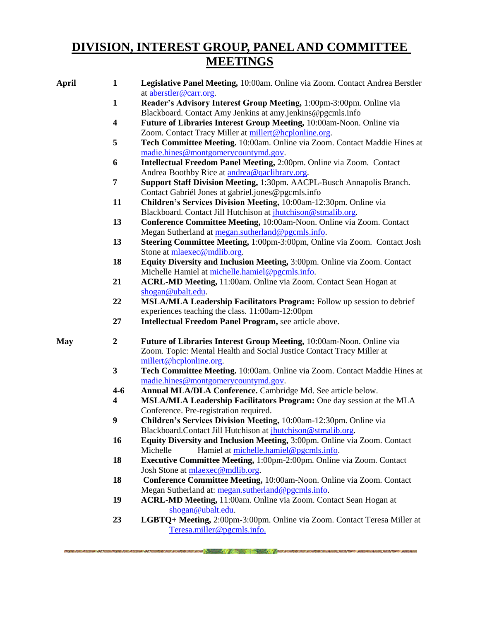## **DIVISION, INTEREST GROUP, PANEL AND COMMITTEE MEETINGS**

| <b>April</b> | $\mathbf{1}$            | Legislative Panel Meeting, 10:00am. Online via Zoom. Contact Andrea Berstler<br>at aberstler@carr.org. |
|--------------|-------------------------|--------------------------------------------------------------------------------------------------------|
|              | $\mathbf{1}$            | Reader's Advisory Interest Group Meeting, 1:00pm-3:00pm. Online via                                    |
|              |                         | Blackboard. Contact Amy Jenkins at amy jenkins@pgcmls.info                                             |
|              | $\overline{\mathbf{4}}$ | Future of Libraries Interest Group Meeting, 10:00am-Noon. Online via                                   |
|              |                         | Zoom. Contact Tracy Miller at millert@hcplonline.org.                                                  |
|              | 5                       | Tech Committee Meeting. 10:00am. Online via Zoom. Contact Maddie Hines at                              |
|              |                         | madie.hines@montgomerycountymd.gov.                                                                    |
|              | 6                       | Intellectual Freedom Panel Meeting, 2:00pm. Online via Zoom. Contact                                   |
|              |                         | Andrea Boothby Rice at andrea@qaclibrary.org.                                                          |
|              | 7                       | Support Staff Division Meeting, 1:30pm. AACPL-Busch Annapolis Branch.                                  |
|              |                         | Contact Gabriél Jones at gabriel.jones@pgcmls.info                                                     |
|              | 11                      | Children's Services Division Meeting, 10:00am-12:30pm. Online via                                      |
|              |                         | Blackboard. Contact Jill Hutchison at <i>jhutchison@stmalib.org</i> .                                  |
|              | 13                      | Conference Committee Meeting, 10:00am-Noon. Online via Zoom. Contact                                   |
|              |                         | Megan Sutherland at megan.sutherland@pgcmls.info.                                                      |
|              | 13                      | Steering Committee Meeting, 1:00pm-3:00pm, Online via Zoom. Contact Josh                               |
|              |                         | Stone at mlaexec@mdlib.org.                                                                            |
|              | 18                      | Equity Diversity and Inclusion Meeting, 3:00pm. Online via Zoom. Contact                               |
|              |                         | Michelle Hamiel at michelle.hamiel@pgcmls.info.                                                        |
|              | 21                      | ACRL-MD Meeting, 11:00am. Online via Zoom. Contact Sean Hogan at                                       |
|              |                         |                                                                                                        |
|              | 22                      | shogan@ubalt.edu.                                                                                      |
|              |                         | MSLA/MLA Leadership Facilitators Program: Follow up session to debrief                                 |
|              |                         | experiences teaching the class. 11:00am-12:00pm                                                        |
|              | 27                      | Intellectual Freedom Panel Program, see article above.                                                 |
| <b>May</b>   | $\boldsymbol{2}$        | Future of Libraries Interest Group Meeting, 10:00am-Noon. Online via                                   |
|              |                         | Zoom. Topic: Mental Health and Social Justice Contact Tracy Miller at                                  |
|              |                         | millert@hcplonline.org.                                                                                |
|              | $\mathbf{3}$            | Tech Committee Meeting. 10:00am. Online via Zoom. Contact Maddie Hines at                              |
|              |                         | madie.hines@montgomerycountymd.gov.                                                                    |
|              | $4 - 6$                 | Annual MLA/DLA Conference. Cambridge Md. See article below.                                            |
|              | 4                       | MSLA/MLA Leadership Facilitators Program: One day session at the MLA                                   |
|              |                         | Conference. Pre-registration required.                                                                 |
|              | 9                       | Children's Services Division Meeting, 10:00am-12:30pm. Online via                                      |
|              |                         | Blackboard.Contact Jill Hutchison at <i>ihutchison@stmalib.org</i> .                                   |
|              | 16                      | Equity Diversity and Inclusion Meeting, 3:00pm. Online via Zoom. Contact                               |
|              |                         | Hamiel at michelle.hamiel@pgcmls.info.<br>Michelle                                                     |
|              | 18                      | Executive Committee Meeting, 1:00pm-2:00pm. Online via Zoom. Contact                                   |
|              |                         | Josh Stone at mlaexec@mdlib.org.                                                                       |
|              | 18                      | Conference Committee Meeting, 10:00am-Noon. Online via Zoom. Contact                                   |
|              |                         | Megan Sutherland at: megan.sutherland@pgcmls.info.                                                     |
|              | 19                      | ACRL-MD Meeting, 11:00am. Online via Zoom. Contact Sean Hogan at                                       |
|              |                         | shogan@ubalt.edu.                                                                                      |
|              | 23                      | LGBTQ+ Meeting, 2:00pm-3:00pm. Online via Zoom. Contact Teresa Miller at                               |
|              |                         | Teresa.miller@pgcmls.info.                                                                             |
|              |                         |                                                                                                        |

an habitan kacamatan ing pag-pag-pagpal na pag-pag-pagpal na mga matangang nagang nagang ng mga matangang na m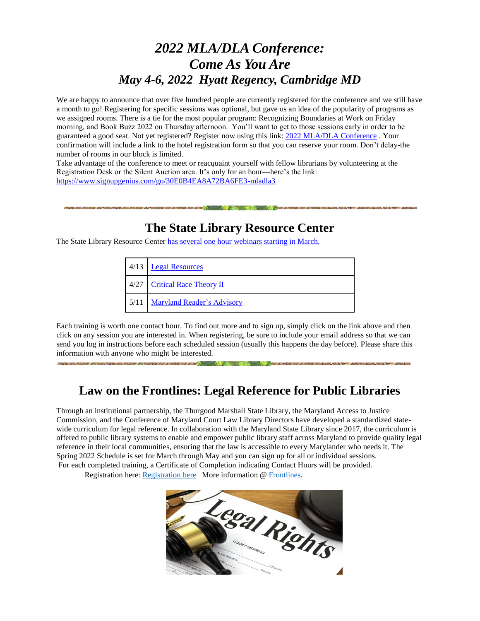## *2022 MLA/DLA Conference: Come As You Are May 4-6, 2022 Hyatt Regency, Cambridge MD*

We are happy to announce that over five hundred people are currently registered for the conference and we still have a month to go! Registering for specific sessions was optional, but gave us an idea of the popularity of programs as we assigned rooms. There is a tie for the most popular program: Recognizing Boundaries at Work on Friday morning, and Book Buzz 2022 on Thursday afternoon. You'll want to get to those sessions early in order to be guaranteed a good seat. Not yet registered? Register now using this link: [2022 MLA/DLA Conference](https://www.mdlib.org/ev_calendar_day.asp?date=5%2F4%2F22&eventid=138) . Your confirmation will include a link to the hotel registration form so that you can reserve your room. Don't delay-the number of rooms in our block is limited.

Take advantage of the conference to meet or reacquaint yourself with fellow librarians by volunteering at the Registration Desk or the Silent Auction area. It's only for an hour—here's the link: <https://www.signupgenius.com/go/30E0B4EA8A72BA6FE3-mladla3>

### **The State Library Resource Center**

The State Library Resource Center [has several one hour](https://nam11.safelinks.protection.outlook.com/?url=https%3A%2F%2Fwww.slrc.info%2Fdevelopment%2Fwebinars%2F&data=04%7C01%7Ckmonagan%40mdlib.org%7C346fbca5045e4765310308d9d7a028f2%7Cabfaca4f2f8440c29a45bd09ad83fe89%7C0%7C1%7C637777905181505158%7CUnknown%7CTWFpbGZsb3d8eyJWIjoiMC4wLjAwMDAiLCJQIjoiV2luMzIiLCJBTiI6Ik1haWwiLCJXVCI6Mn0%3D%7C3000&sdata=2Ku014fbEfCu6320Dtt1lAQ5lMbR%2F6glj%2BQXUgqpF68%3D&reserved=0) webinars starting in March.

| 4/13 | <b>Legal Resources</b>            |  |
|------|-----------------------------------|--|
| 4/27 | <b>Critical Race Theory II</b>    |  |
| 5/11 | <b>Maryland Reader's Advisory</b> |  |

Each training is worth one contact hour. To find out more and to sign up, simply click on the link above and then click on any session you are interested in. When registering, be sure to include your email address so that we can send you log in instructions before each scheduled session (usually this happens the day before). Please share this information with anyone who might be interested.

### **Law on the Frontlines: Legal Reference for Public Libraries**

and the first state of the company of the

Through an institutional partnership, the Thurgood Marshall State Library, the Maryland Access to Justice Commission, and the Conference of Maryland Court Law Library Directors have developed a standardized statewide curriculum for legal reference. In collaboration with the Maryland State Library since 2017, the curriculum is offered to public library systems to enable and empower public library staff across Maryland to provide quality legal reference in their local communities, ensuring that the law is accessible to every Marylander who needs it. The Spring 2022 Schedule is set for March through May and you can sign up for all or individual sessions. For each completed training, a Certificate of Completion indicating Contact Hours will be provided.

Registration here: [Registration](https://nam11.safelinks.protection.outlook.com/?url=https%3A%2F%2Fmdcourts.gov%2Fsites%2Fdefault%2Ffiles%2Fimport%2Flawlib%2F2022%2520Flyer%2520rev0217a2jc.pdf&data=04%7C01%7Ckmonagan%40mdlib.org%7C7f08012d3ce4444a26ba08d9f623ee0a%7Cabfaca4f2f8440c29a45bd09ad83fe89%7C0%7C1%7C637811456461772537%7CUnknown%7CTWFpbGZsb3d8eyJWIjoiMC4wLjAwMDAiLCJQIjoiV2luMzIiLCJBTiI6Ik1haWwiLCJXVCI6Mn0%3D%7C3000&sdata=r%2BIZb1lGBecF8K1c5Q32ZrQA7hwdmuUFN8f61rQ8THo%3D&reserved=0) here More information @ [Frontlines](https://nam11.safelinks.protection.outlook.com/?url=https%3A%2F%2Fmdcourts.gov%2Flawlib%2Fusing-library%2Ffor-librarians%2Flegal-reference-training&data=04%7C01%7Ckmonagan%40mdlib.org%7C7f08012d3ce4444a26ba08d9f623ee0a%7Cabfaca4f2f8440c29a45bd09ad83fe89%7C0%7C1%7C637811456461772537%7CUnknown%7CTWFpbGZsb3d8eyJWIjoiMC4wLjAwMDAiLCJQIjoiV2luMzIiLCJBTiI6Ik1haWwiLCJXVCI6Mn0%3D%7C3000&sdata=y2OrWDlqUst9RVg2xWEzaQo2S7EQp6qB2RFaNPdL9Ac%3D&reserved=0).